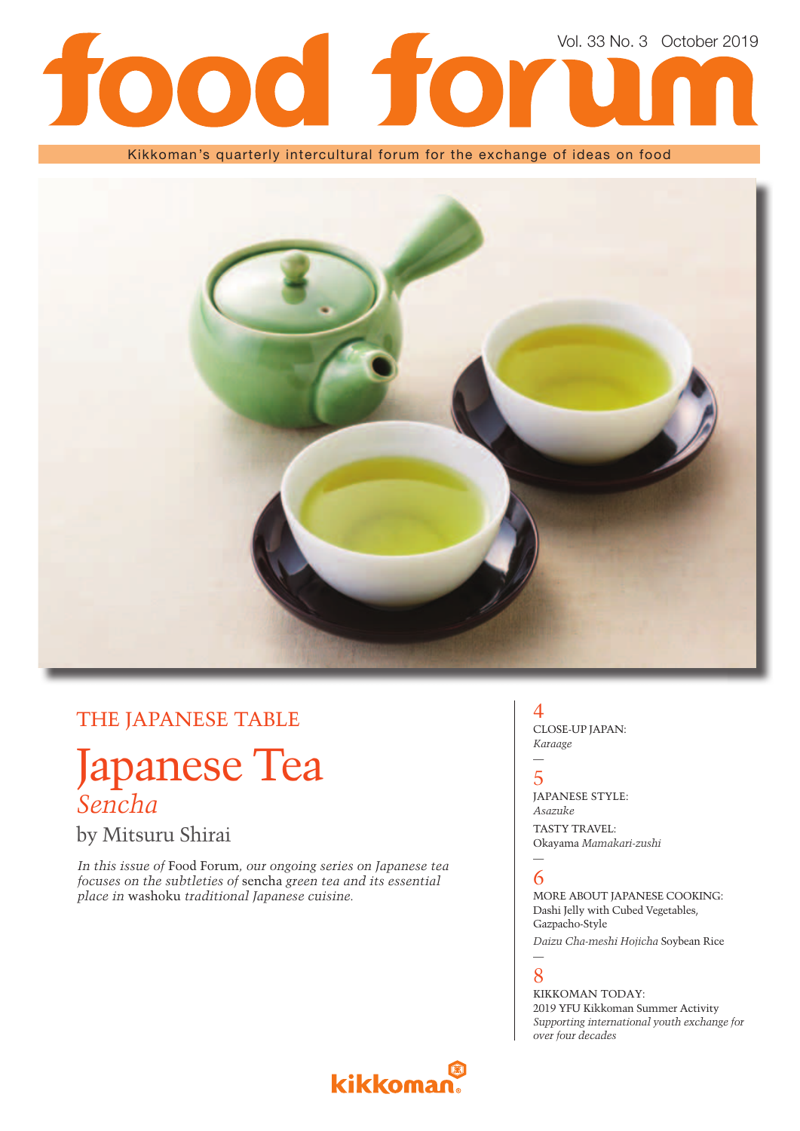# Vol. 33 No. 3 October 2019l fo  $\overline{\mathbf{O}}$

### Kikkoman's quarterly intercultural forum for the exchange of ideas on food



# THE JAPANESE TABLE

# Japanese Tea *Sencha*

by Mitsuru Shirai

*In this issue of* Food Forum*, our ongoing series on Japanese tea focuses on the subtleties of* sencha *green tea and its essential place in* washoku *traditional Japanese cuisine.*

## 4

CLOSE-UP JAPAN: *Karaage*

## — 5

JAPANESE STYLE: *Asazuke* TASTY TRAVEL: Okayama *Mamakari-zushi*

## — 6

MORE ABOUT JAPANESE COOKING: Dashi Jelly with Cubed Vegetables, Gazpacho-Style

*Daizu Cha-meshi Hojicha* Soybean Rice

### — 8

KIKKOMAN TODAY: 2019 YFU Kikkoman Summer Activity *Supporting international youth exchange for over four decades*

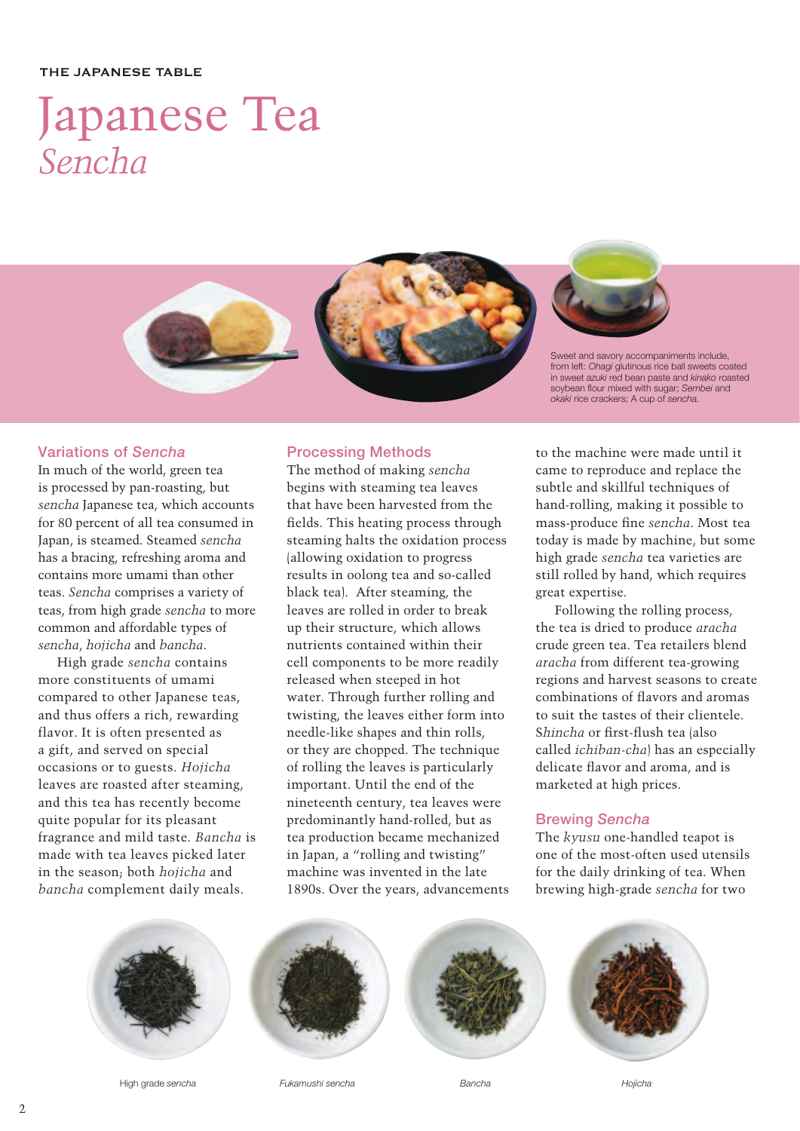#### THE JAPANESE TABLE

# Japanese Tea *Sencha*



## **Variations of** *Sencha*

In much of the world, green tea is processed by pan-roasting, but *sencha* Japanese tea, which accounts for 80 percent of all tea consumed in Japan, is steamed. Steamed *sencha* has a bracing, refreshing aroma and contains more umami than other teas. *Sencha* comprises a variety of teas, from high grade *sencha* to more common and affordable types of *sencha*, *hojicha* and *bancha*.

High grade *sencha* contains more constituents of umami compared to other Japanese teas, and thus offers a rich, rewarding flavor. It is often presented as a gift, and served on special occasions or to guests. *Hojicha*  leaves are roasted after steaming, and this tea has recently become quite popular for its pleasant fragrance and mild taste. *Bancha* is made with tea leaves picked later in the season; both *hojicha* and *bancha* complement daily meals.

## **Processing Methods**

The method of making *sencha* begins with steaming tea leaves that have been harvested from the fields. This heating process through steaming halts the oxidation process (allowing oxidation to progress results in oolong tea and so-called black tea). After steaming, the leaves are rolled in order to break up their structure, which allows nutrients contained within their cell components to be more readily released when steeped in hot water. Through further rolling and twisting, the leaves either form into needle-like shapes and thin rolls, or they are chopped. The technique of rolling the leaves is particularly important. Until the end of the nineteenth century, tea leaves were predominantly hand-rolled, but as tea production became mechanized in Japan, a "rolling and twisting" machine was invented in the late 1890s. Over the years, advancements

to the machine were made until it came to reproduce and replace the subtle and skillful techniques of hand-rolling, making it possible to mass-produce fine *sencha*. Most tea today is made by machine, but some high grade *sencha* tea varieties are still rolled by hand, which requires great expertise.

Following the rolling process, the tea is dried to produce *aracha* crude green tea. Tea retailers blend *aracha* from different tea-growing regions and harvest seasons to create combinations of flavors and aromas to suit the tastes of their clientele. Shincha or first-flush tea (also called *ichiban-cha*) has an especially delicate flavor and aroma, and is marketed at high prices.

## **Brewing** *Sencha*

The *kyusu* one-handled teapot is one of the most-often used utensils for the daily drinking of tea. When brewing high-grade *sencha* for two



High grade *sencha Fukamushi sencha*







*Bancha Hojicha*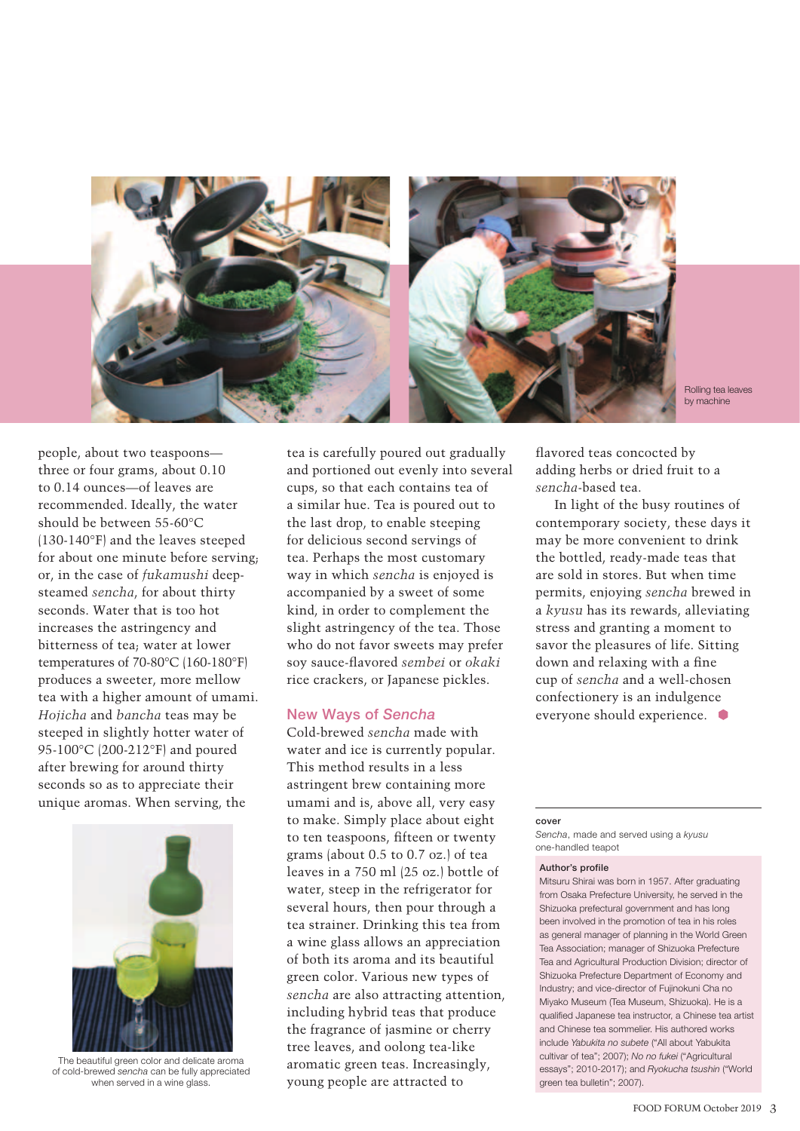

Rolling tea leaves by machine

people, about two teaspoons three or four grams, about 0.10 to 0.14 ounces—of leaves are recommended. Ideally, the water should be between 55-60°C (130-140°F) and the leaves steeped for about one minute before serving; or, in the case of *fukamushi* deepsteamed *sencha*, for about thirty seconds. Water that is too hot increases the astringency and bitterness of tea; water at lower temperatures of 70-80°C (160-180°F) produces a sweeter, more mellow tea with a higher amount of umami. *Hojicha* and *bancha* teas may be steeped in slightly hotter water of 95-100°C (200-212°F) and poured after brewing for around thirty seconds so as to appreciate their unique aromas. When serving, the



The beautiful green color and delicate aroma of cold-brewed *sencha* can be fully appreciated when served in a wine glass.

tea is carefully poured out gradually and portioned out evenly into several cups, so that each contains tea of a similar hue. Tea is poured out to the last drop, to enable steeping for delicious second servings of tea. Perhaps the most customary way in which *sencha* is enjoyed is accompanied by a sweet of some kind, in order to complement the slight astringency of the tea. Those who do not favor sweets may prefer soy sauce-fl avored *sembei* or *okaki* rice crackers, or Japanese pickles.

### **New Ways of** *Sencha*

Cold-brewed *sencha* made with water and ice is currently popular. This method results in a less astringent brew containing more umami and is, above all, very easy to make. Simply place about eight to ten teaspoons, fifteen or twenty grams (about 0.5 to 0.7 oz.) of tea leaves in a 750 ml (25 oz.) bottle of water, steep in the refrigerator for several hours, then pour through a tea strainer. Drinking this tea from a wine glass allows an appreciation of both its aroma and its beautiful green color. Various new types of *sencha* are also attracting attention, including hybrid teas that produce the fragrance of jasmine or cherry tree leaves, and oolong tea-like aromatic green teas. Increasingly, young people are attracted to

flavored teas concocted by adding herbs or dried fruit to a *sencha*-based tea.

In light of the busy routines of contemporary society, these days it may be more convenient to drink the bottled, ready-made teas that are sold in stores. But when time permits, enjoying *sencha* brewed in a *kyusu* has its rewards, alleviating stress and granting a moment to savor the pleasures of life. Sitting down and relaxing with a fine cup of *sencha* and a well-chosen confectionery is an indulgence everyone should experience.

#### **cover**

*Sencha*, made and served using a *kyusu* one-handled teapot

#### **Author's profile**

Mitsuru Shirai was born in 1957. After graduating from Osaka Prefecture University, he served in the Shizuoka prefectural government and has long been involved in the promotion of tea in his roles as general manager of planning in the World Green Tea Association; manager of Shizuoka Prefecture Tea and Agricultural Production Division; director of Shizuoka Prefecture Department of Economy and Industry; and vice-director of Fujinokuni Cha no Miyako Museum (Tea Museum, Shizuoka). He is a qualified Japanese tea instructor, a Chinese tea artist and Chinese tea sommelier. His authored works include *Yabukita no subete* ("All about Yabukita cultivar of tea"; 2007); *No no fukei* ("Agricultural essays"; 2010-2017); and *Ryokucha tsushin* ("World green tea bulletin"; 2007).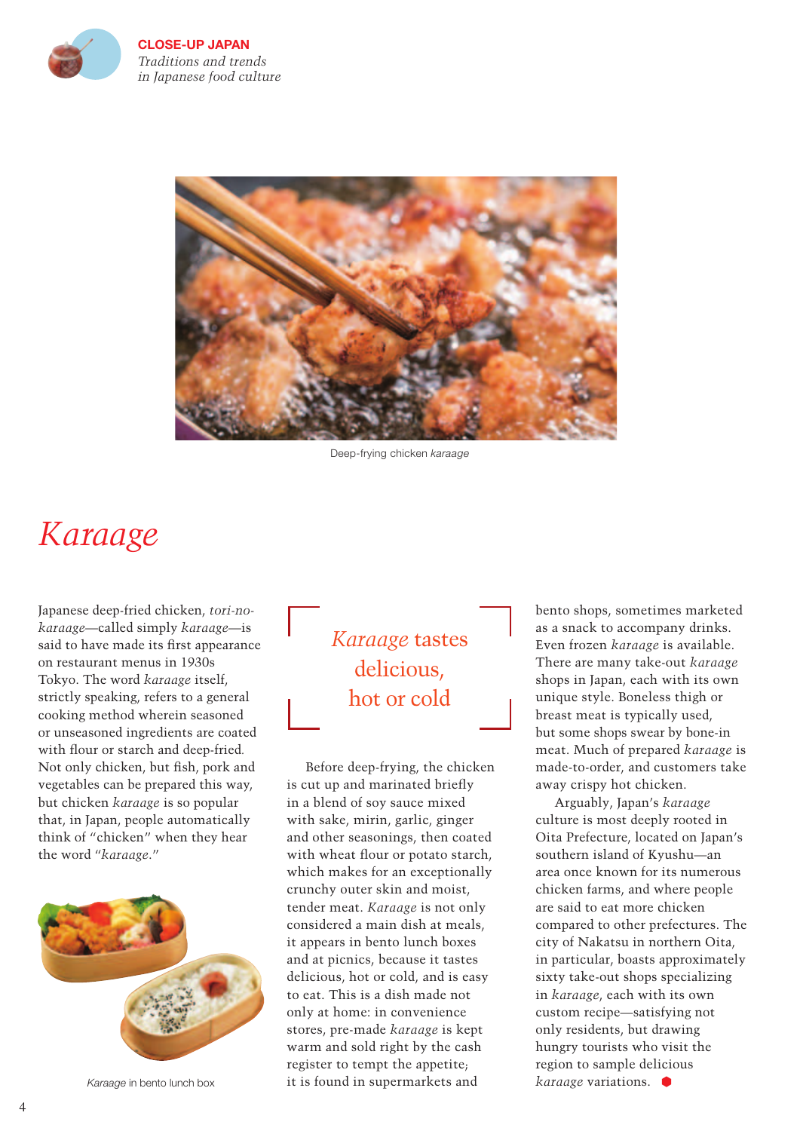

**CLOSE-UP JAPAN** *Traditions and trends in Japanese food culture* 



Deep-frying chicken *karaage*

# *Karaage*

Japanese deep-fried chicken, *tori-nokaraage*—called simply *karaage*—is said to have made its first appearance on restaurant menus in 1930s Tokyo. The word *karaage* itself, strictly speaking, refers to a general cooking method wherein seasoned or unseasoned ingredients are coated with flour or starch and deep-fried. Not only chicken, but fish, pork and vegetables can be prepared this way, but chicken *karaage* is so popular that, in Japan, people automatically think of "chicken" when they hear the word "*karaage*."



*Karaage* in bento lunch box

*Karaage* tastes delicious, hot or cold

Before deep-frying, the chicken is cut up and marinated briefly in a blend of soy sauce mixed with sake, mirin, garlic, ginger and other seasonings, then coated with wheat flour or potato starch, which makes for an exceptionally crunchy outer skin and moist, tender meat. *Karaage* is not only considered a main dish at meals, it appears in bento lunch boxes and at picnics, because it tastes delicious, hot or cold, and is easy to eat. This is a dish made not only at home: in convenience stores, pre-made *karaage* is kept warm and sold right by the cash register to tempt the appetite; it is found in supermarkets and

bento shops, sometimes marketed as a snack to accompany drinks. Even frozen *karaage* is available. There are many take-out *karaage* shops in Japan, each with its own unique style. Boneless thigh or breast meat is typically used, but some shops swear by bone-in meat. Much of prepared *karaage* is made-to-order, and customers take away crispy hot chicken.

Arguably, Japan's *karaage* culture is most deeply rooted in Oita Prefecture, located on Japan's southern island of Kyushu—an area once known for its numerous chicken farms, and where people are said to eat more chicken compared to other prefectures. The city of Nakatsu in northern Oita, in particular, boasts approximately sixty take-out shops specializing in *karaage*, each with its own custom recipe—satisfying not only residents, but drawing hungry tourists who visit the region to sample delicious *karaage* variations.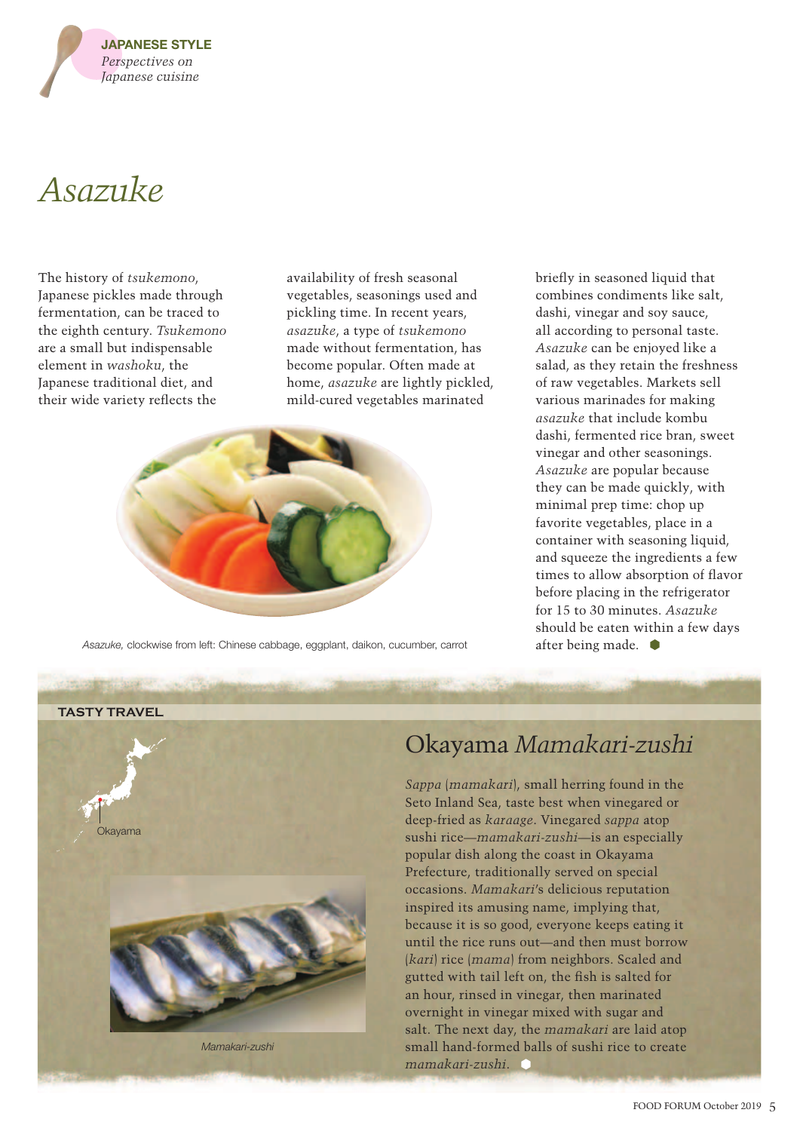

# *Asazuke*

The history of *tsukemono*, Japanese pickles made through fermentation, can be traced to the eighth century. *Tsukemono* are a small but indispensable element in *washoku*, the Japanese traditional diet, and their wide variety reflects the

availability of fresh seasonal vegetables, seasonings used and pickling time. In recent years, *asazuke*, a type of *tsukemono* made without fermentation, has become popular. Often made at home, *asazuke* are lightly pickled, mild-cured vegetables marinated



Asazuke, clockwise from left: Chinese cabbage, eggplant, daikon, cucumber, carrot after being made.

briefly in seasoned liquid that combines condiments like salt, dashi, vinegar and soy sauce, all according to personal taste. *Asazuke* can be enjoyed like a salad, as they retain the freshness of raw vegetables. Markets sell various marinades for making *asazuke* that include kombu dashi, fermented rice bran, sweet vinegar and other seasonings. *Asazuke* are popular because they can be made quickly, with minimal prep time: chop up favorite vegetables, place in a container with seasoning liquid, and squeeze the ingredients a few times to allow absorption of flavor before placing in the refrigerator for 15 to 30 minutes. *Asazuke* should be eaten within a few days



# Okayama *Mamakari-zushi*

*Sappa* (*mamakari*), small herring found in the Seto Inland Sea, taste best when vinegared or deep-fried as *karaage*. Vinegared *sappa* atop sushi rice—*mamakari-zushi*—is an especially popular dish along the coast in Okayama Prefecture, traditionally served on special occasions. *Mamakari*'s delicious reputation inspired its amusing name, implying that, because it is so good, everyone keeps eating it until the rice runs out—and then must borrow (*kari*) rice (*mama*) from neighbors. Scaled and gutted with tail left on, the fish is salted for an hour, rinsed in vinegar, then marinated overnight in vinegar mixed with sugar and salt. The next day, the *mamakari* are laid atop small hand-formed balls of sushi rice to create *mamakari-zushi*.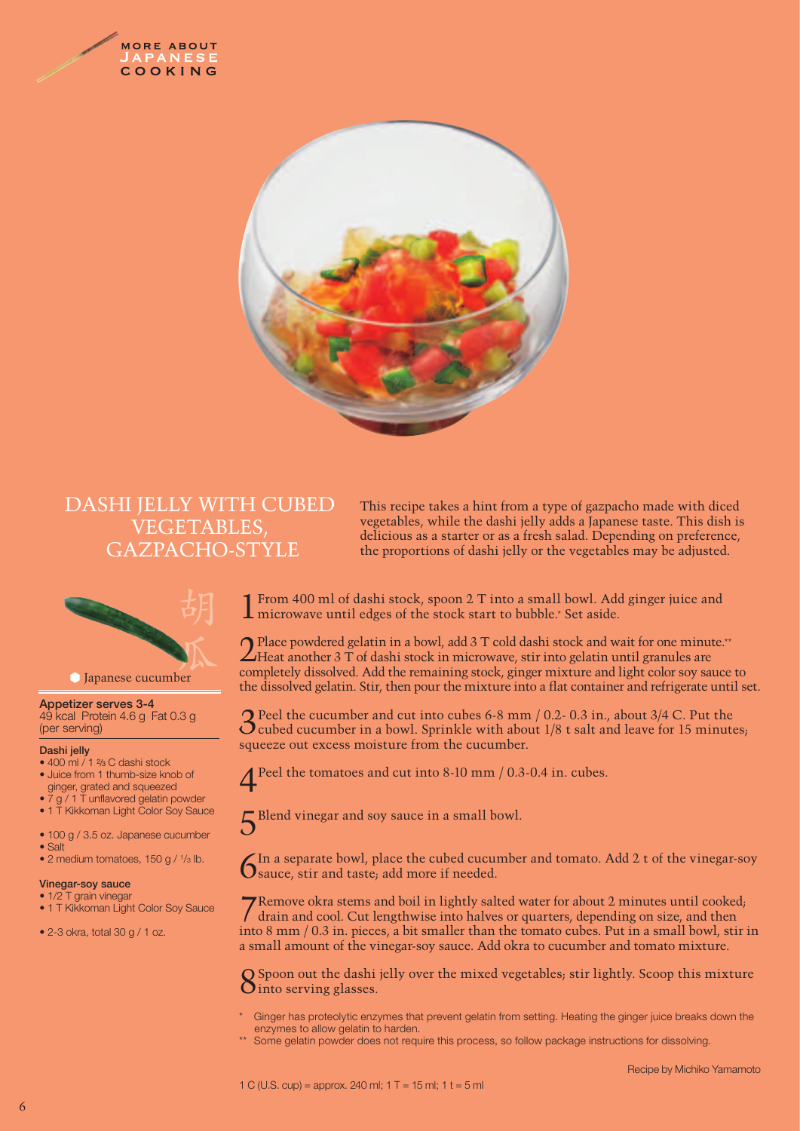



## DASHI JELLY WITH CUBED VEGETABLES, GAZPACHO-STYLE



### **Appetizer serves 3-4**

49 kcal Protein 4.6 g Fat 0.3 g (per serving)

#### **Dashi jelly**

- 400 ml / 1 <sup>2</sup>/<sub>3</sub> C dashi stock • Juice from 1 thumb-size knob of
- ginger, grated and squeezed •  $\frac{7}{9}$  / 1 T unflavored gelatin powder
- 1 T Kikkoman Light Color Soy Sauce
- 100 g / 3.5 oz. Japanese cucumber
- Salt
- 2 medium tomatoes, 150 g / 1/3 lb.

#### **Vinegar-soy sauce**

- 1/2 T grain vinegar
- 1 T Kikkoman Light Color Soy Sauce

• 2-3 okra, total 30 g / 1 oz.

This recipe takes a hint from a type of gazpacho made with diced vegetables, while the dashi jelly adds a Japanese taste. This dish is delicious as a starter or as a fresh salad. Depending on preference, the proportions of dashi jelly or the vegetables may be adjusted.

1From 400 ml of dashi stock, spoon 2 T into a small bowl. Add ginger juice and microwave until edges of the stock start to bubble.\* Set aside.

2Place powdered gelatin in a bowl, add 3 T cold dashi stock and wait for one minute.\*\* Heat another 3 T of dashi stock in microwave, stir into gelatin until granules are completely dissolved. Add the remaining stock, ginger mixture and light color soy sauce to the dissolved gelatin. Stir, then pour the mixture into a flat container and refrigerate until set.

**3** Peel the cucumber and cut into cubes 6-8 mm / 0.2- 0.3 in., about 3/4 C. Put the cubed cucumber in a bowl. Sprinkle with about 1/8 t salt and leave for 15 minutes; squeeze out excess moisture from the cucumber.

4Peel the tomatoes and cut into 8-10 mm / 0.3-0.4 in. cubes.

5 Blend vinegar and soy sauce in a small bowl.

In a separate bowl, place the cubed cucumber and tomato. Add  $2 t$  of the vinegar-soy  $\mathbf 0$  sauce, stir and taste; add more if needed.

7Remove okra stems and boil in lightly salted water for about 2 minutes until cooked; drain and cool. Cut lengthwise into halves or quarters, depending on size, and then into 8 mm / 0.3 in. pieces, a bit smaller than the tomato cubes. Put in a small bowl, stir in a small amount of the vinegar-soy sauce. Add okra to cucumber and tomato mixture.

 $\mathbf D$  Spoon out the dashi jelly over the mixed vegetables; stir lightly. Scoop this mixture  $O$  into serving glasses.

- Ginger has proteolytic enzymes that prevent gelatin from setting. Heating the ginger juice breaks down the enzymes to allow gelatin to harden.
- Some gelatin powder does not require this process, so follow package instructions for dissolving.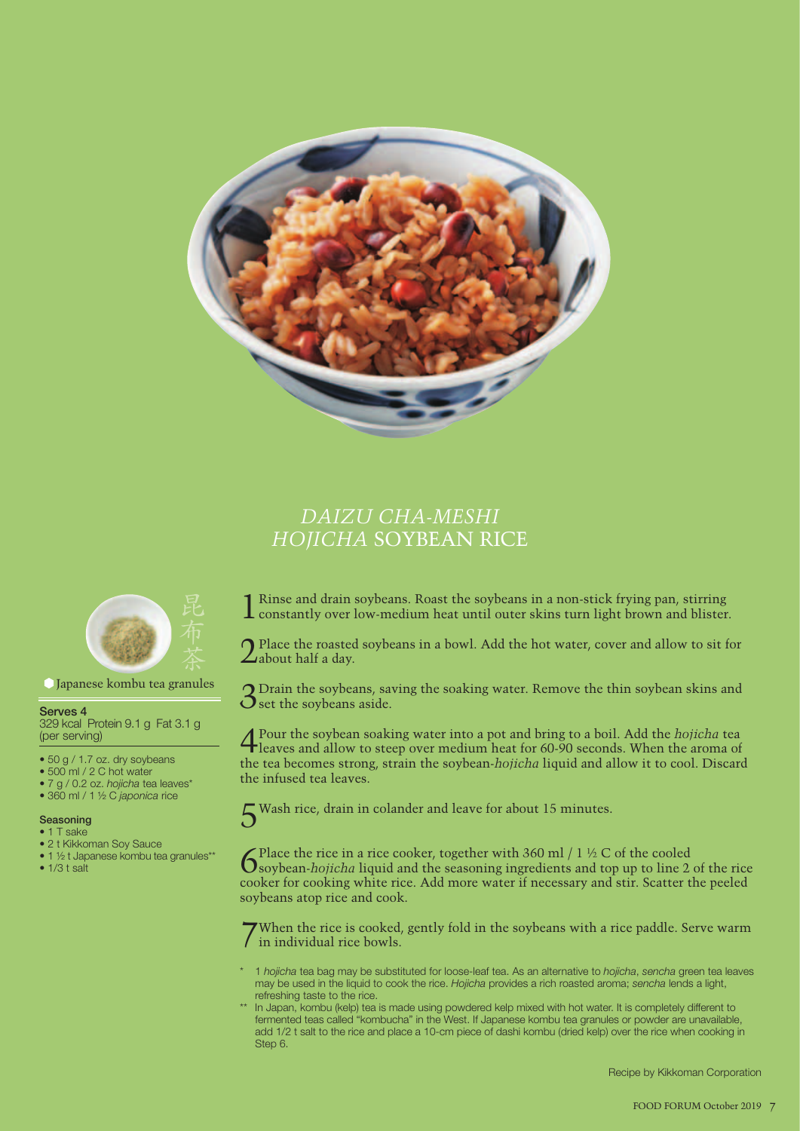

# *DAIZU CHA-MESHI HOJICHA* SOYBEAN RICE



#### Japanese kombu tea granules

#### **Serves 4**

329 kcal Protein 9.1 g Fat 3.1 g (per serving)

- 50 g / 1.7 oz. dry soybeans
- 500 ml / 2 C hot water
- 7 g / 0.2 oz. *hojicha* tea leaves\*
- 360 ml / 1 ½ C *japonica* rice

#### **Seasoning**

- 1 T sake
- 2 t Kikkoman Soy Sauce
- 1 ½ t Japanese kombu tea granules\*\*
- $1/3 t salt$

1Rinse and drain soybeans. Roast the soybeans in a non-stick frying pan, stirring constantly over low-medium heat until outer skins turn light brown and blister.

Place the roasted soybeans in a bowl. Add the hot water, cover and allow to sit for  $\angle$ about half a day.

3 Drain the soybeans, saving the soaking water. Remove the thin soybean skins and  $\mathbf{\hat{O}}$  set the soybeans aside.

4 Pour the soybean soaking water into a pot and bring to a boil. Add the *hojicha* tea leaves and allow to steep over medium heat for 60-90 seconds. When the aroma of the tea becomes strong, strain the soybean-*hojicha* liquid and allow it to cool. Discard the infused tea leaves.

Wash rice, drain in colander and leave for about 15 minutes.

Solution 1 *Sequelen the rice in a rice cooker, together with* 360 ml / 1 ½ C of the cooled solution *hojicha* liquid and the seasoning ingredients and top up to line 2 of the rice cooker for cooking white rice. Add more water if necessary and stir. Scatter the peeled soybeans atop rice and cook.

7 When the rice is cooked, gently fold in the soybeans with a rice paddle. Serve warm I in individual rice bowls.

- \* 1 *hojicha* tea bag may be substituted for loose-leaf tea. As an alternative to *hojicha*, *sencha* green tea leaves may be used in the liquid to cook the rice. *Hojicha* provides a rich roasted aroma; *sencha* lends a light, refreshing taste to the rice.
- In Japan, kombu (kelp) tea is made using powdered kelp mixed with hot water. It is completely different to fermented teas called "kombucha" in the West. If Japanese kombu tea granules or powder are unavailable, add 1/2 t salt to the rice and place a 10-cm piece of dashi kombu (dried kelp) over the rice when cooking in Step 6.

Recipe by Kikkoman Corporation